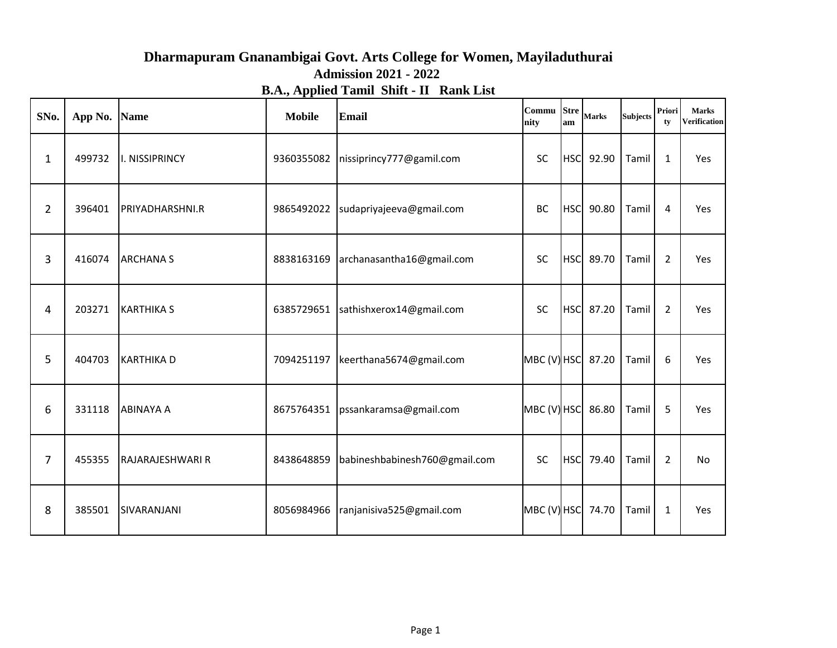## **Dharmapuram Gnanambigai Govt. Arts College for Women, Mayiladuthurai Admission 2021 - 2022 B.A., Applied Tamil Shift - II Rank List**

| SNo.           | App No. | <b>Name</b>       | <b>Mobile</b> | Email                               | Commu Stre<br>nity | am         | <b>Marks</b> | <b>Subjects</b> | Priori<br>tv   | <b>Marks</b><br><b>Verification</b> |
|----------------|---------|-------------------|---------------|-------------------------------------|--------------------|------------|--------------|-----------------|----------------|-------------------------------------|
| 1              | 499732  | I. NISSIPRINCY    | 9360355082    | nissiprincy777@gamil.com            | <b>SC</b>          |            | HSC 92.90    | Tamil           | $\mathbf{1}$   | Yes                                 |
| $\overline{2}$ | 396401  | PRIYADHARSHNI.R   | 9865492022    | sudapriyajeeva@gmail.com            | BC                 | <b>HSC</b> | 90.80        | Tamil           | 4              | Yes                                 |
| 3              | 416074  | <b>ARCHANA S</b>  | 8838163169    | archanasantha16@gmail.com           | <b>SC</b>          |            | HSC 89.70    | Tamil           | $\overline{2}$ | Yes                                 |
| 4              | 203271  | <b>KARTHIKA S</b> |               | 6385729651 sathishxerox14@gmail.com | SC                 |            | HSC 87.20    | Tamil           | $\overline{2}$ | Yes                                 |
| 5              | 404703  | <b>KARTHIKAD</b>  | 7094251197    | keerthana5674@gmail.com             | MBC (V) HSC 87.20  |            |              | Tamil           | 6              | Yes                                 |
| 6              | 331118  | <b>ABINAYA A</b>  | 8675764351    | pssankaramsa@gmail.com              | MBC (V) HSC 86.80  |            |              | Tamil           | 5              | Yes                                 |
| 7              | 455355  | RAJARAJESHWARI R  | 8438648859    | babineshbabinesh760@gmail.com       | <b>SC</b>          |            | HSC 79.40    | Tamil           | $\overline{2}$ | No                                  |
| 8              | 385501  | SIVARANJANI       | 8056984966    | ranjanisiva525@gmail.com            | MBC (V) HSC 74.70  |            |              | Tamil           | $\mathbf{1}$   | Yes                                 |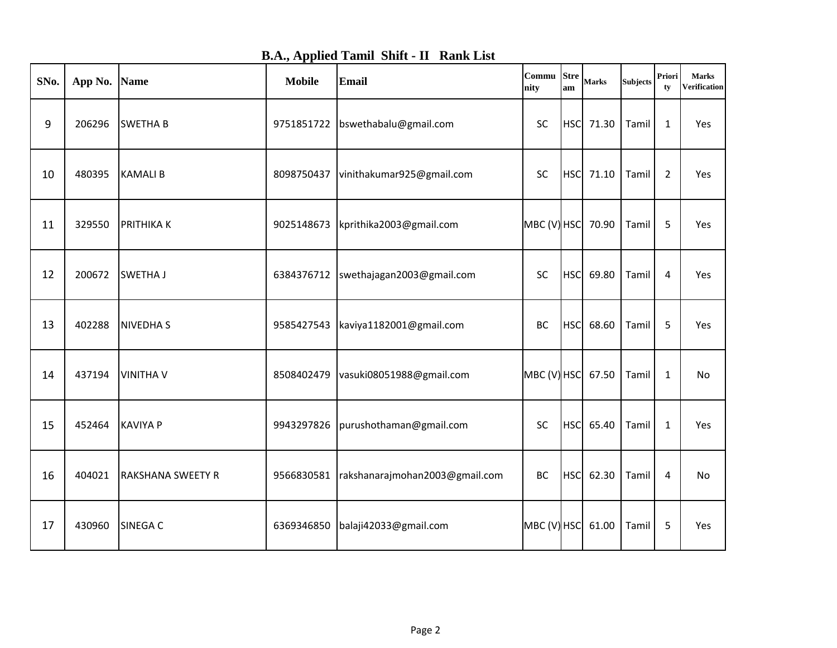**B.A., Applied Tamil Shift - II Rank List**

| SNo. | App No. | <b>Name</b>              | <b>Mobile</b> | <b>Email</b>                         | Commu<br>nity     | <b>Stre</b><br>am | <b>Marks</b> | <b>Subjects</b> | Priori<br>tv | <b>Marks</b><br><b>Verification</b> |
|------|---------|--------------------------|---------------|--------------------------------------|-------------------|-------------------|--------------|-----------------|--------------|-------------------------------------|
| 9    | 206296  | <b>SWETHA B</b>          | 9751851722    | bswethabalu@gmail.com                | <b>SC</b>         |                   | HSC 71.30    | Tamil           | $\mathbf{1}$ | Yes                                 |
| 10   | 480395  | <b>KAMALIB</b>           | 8098750437    | vinithakumar925@gmail.com            | SC                | <b>HSC</b>        | 71.10        | Tamil           | 2            | Yes                                 |
| 11   | 329550  | <b>PRITHIKAK</b>         | 9025148673    | kprithika2003@gmail.com              | $MBC(V)$ HSC      |                   | 70.90        | Tamil           | 5            | Yes                                 |
| 12   | 200672  | <b>SWETHA J</b>          | 6384376712    | swethajagan2003@gmail.com            | <b>SC</b>         | <b>HSC</b>        | 69.80        | Tamil           | 4            | Yes                                 |
| 13   | 402288  | <b>NIVEDHAS</b>          |               | 9585427543   kaviya1182001@gmail.com | BC                | <b>HSC</b>        | 68.60        | Tamil           | 5            | Yes                                 |
| 14   | 437194  | <b>VINITHA V</b>         | 8508402479    | vasuki08051988@gmail.com             | MBC (V) HSC 67.50 |                   |              | Tamil           | $\mathbf{1}$ | No                                  |
| 15   | 452464  | <b>KAVIYA P</b>          | 9943297826    | purushothaman@gmail.com              | <b>SC</b>         | <b>HSC</b>        | 65.40        | Tamil           | $\mathbf{1}$ | Yes                                 |
| 16   | 404021  | <b>RAKSHANA SWEETY R</b> | 9566830581    | rakshanarajmohan2003@gmail.com       | BC                | <b>HSC</b>        | 62.30        | Tamil           | 4            | No                                  |
| 17   | 430960  | <b>SINEGA C</b>          | 6369346850    | balaji42033@gmail.com                | MBC (V) HSC       |                   | 61.00        | Tamil           | 5            | Yes                                 |